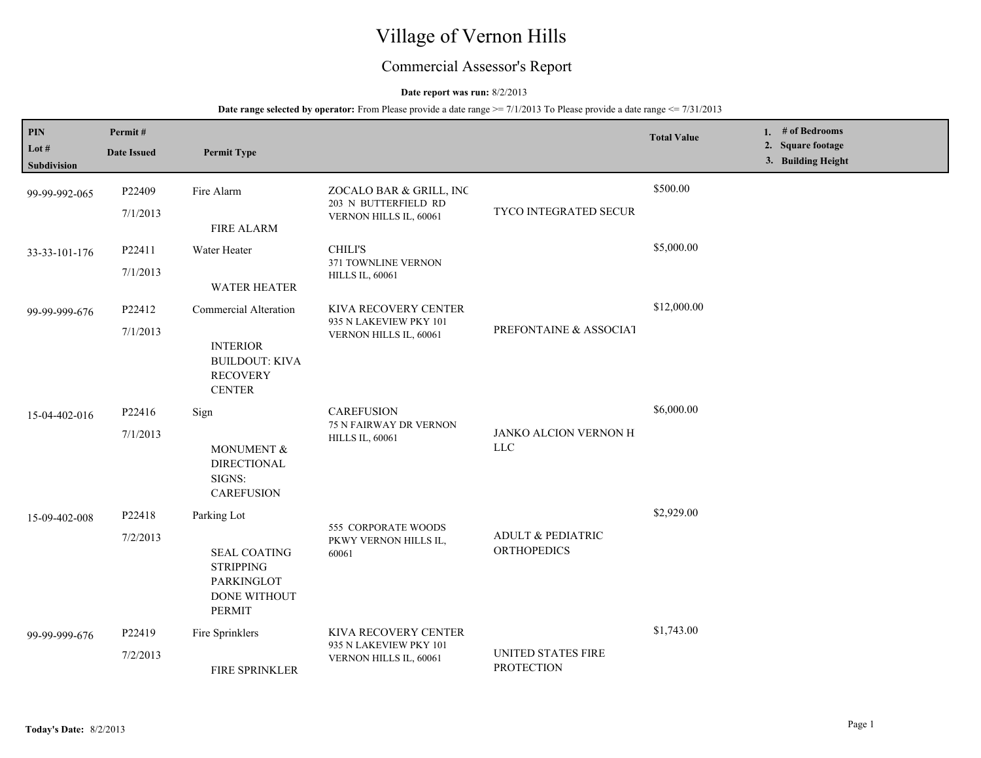# Village of Vernon Hills

## Commercial Assessor's Report

## **Date report was run:** 8/2/2013

| PIN<br>Lot #<br><b>Subdivision</b> | Permit#<br><b>Date Issued</b> | <b>Permit Type</b>                                                                                           |                                                                           |                                                    | <b>Total Value</b> | 1. # of Bedrooms<br>2. Square footage<br>3. Building Height |
|------------------------------------|-------------------------------|--------------------------------------------------------------------------------------------------------------|---------------------------------------------------------------------------|----------------------------------------------------|--------------------|-------------------------------------------------------------|
| 99-99-992-065                      | P22409<br>7/1/2013            | Fire Alarm<br><b>FIRE ALARM</b>                                                                              | ZOCALO BAR & GRILL, INC<br>203 N BUTTERFIELD RD<br>VERNON HILLS IL, 60061 | TYCO INTEGRATED SECUR                              | \$500.00           |                                                             |
| 33-33-101-176                      | P22411<br>7/1/2013            | Water Heater<br><b>WATER HEATER</b>                                                                          | <b>CHILI'S</b><br>371 TOWNLINE VERNON<br><b>HILLS IL, 60061</b>           |                                                    | \$5,000.00         |                                                             |
| 99-99-999-676                      | P22412<br>7/1/2013            | Commercial Alteration<br><b>INTERIOR</b><br><b>BUILDOUT: KIVA</b><br><b>RECOVERY</b><br><b>CENTER</b>        | KIVA RECOVERY CENTER<br>935 N LAKEVIEW PKY 101<br>VERNON HILLS IL, 60061  | PREFONTAINE & ASSOCIAT                             | \$12,000.00        |                                                             |
| 15-04-402-016                      | P22416<br>7/1/2013            | Sign<br>MONUMENT &<br><b>DIRECTIONAL</b><br>SIGNS:<br><b>CAREFUSION</b>                                      | <b>CAREFUSION</b><br>75 N FAIRWAY DR VERNON<br><b>HILLS IL, 60061</b>     | JANKO ALCION VERNON H<br><b>LLC</b>                | \$6,000.00         |                                                             |
| 15-09-402-008                      | P22418<br>7/2/2013            | Parking Lot<br><b>SEAL COATING</b><br><b>STRIPPING</b><br><b>PARKINGLOT</b><br>DONE WITHOUT<br><b>PERMIT</b> | 555 CORPORATE WOODS<br>PKWY VERNON HILLS IL,<br>60061                     | <b>ADULT &amp; PEDIATRIC</b><br><b>ORTHOPEDICS</b> | \$2,929.00         |                                                             |
| 99-99-999-676                      | P22419<br>7/2/2013            | Fire Sprinklers<br><b>FIRE SPRINKLER</b>                                                                     | KIVA RECOVERY CENTER<br>935 N LAKEVIEW PKY 101<br>VERNON HILLS IL, 60061  | <b>UNITED STATES FIRE</b><br><b>PROTECTION</b>     | \$1,743.00         |                                                             |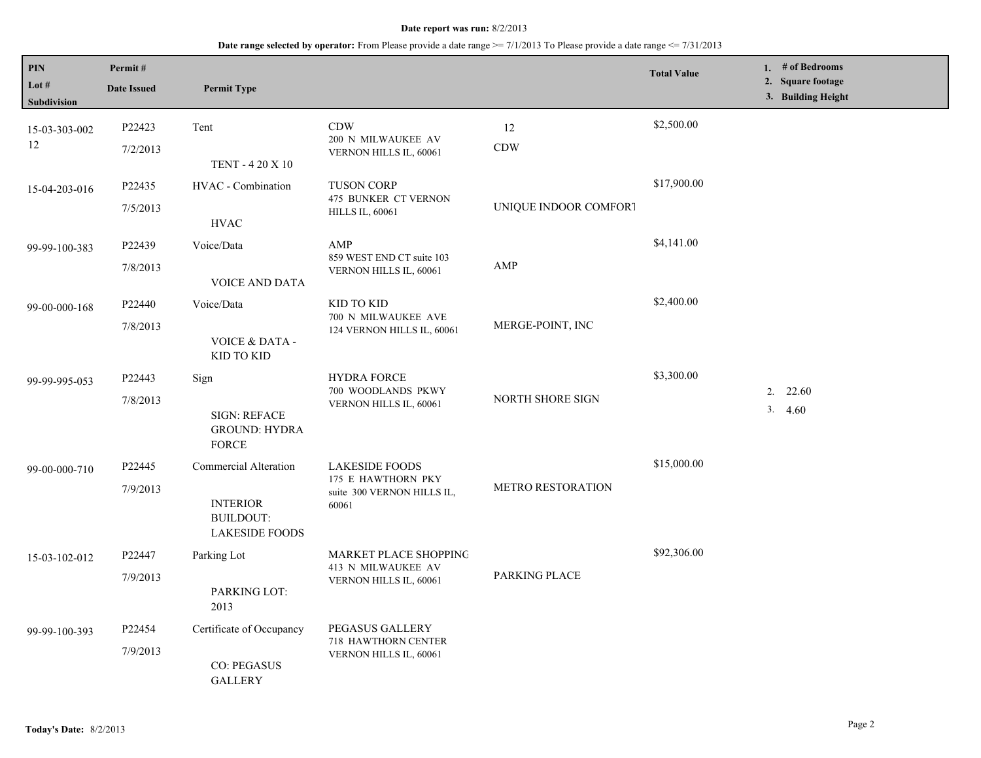| PIN<br>Lot $#$<br>Subdivision | Permit#<br><b>Date Issued</b> | <b>Permit Type</b>                                                                    |                                                                                    |                       | <b>Total Value</b> | 1. $#$ of Bedrooms<br>2. Square footage<br>3. Building Height |
|-------------------------------|-------------------------------|---------------------------------------------------------------------------------------|------------------------------------------------------------------------------------|-----------------------|--------------------|---------------------------------------------------------------|
| 15-03-303-002<br>12           | P22423<br>7/2/2013            | Tent<br>TENT - 4 20 X 10                                                              | <b>CDW</b><br>200 N MILWAUKEE AV<br>VERNON HILLS IL, 60061                         | 12<br>CDW             | \$2,500.00         |                                                               |
| 15-04-203-016                 | P22435<br>7/5/2013            | HVAC - Combination<br><b>HVAC</b>                                                     | <b>TUSON CORP</b><br>475 BUNKER CT VERNON<br><b>HILLS IL, 60061</b>                | UNIQUE INDOOR COMFORT | \$17,900.00        |                                                               |
| 99-99-100-383                 | P22439<br>7/8/2013            | Voice/Data<br>VOICE AND DATA                                                          | AMP<br>859 WEST END CT suite 103<br>VERNON HILLS IL, 60061                         | AMP                   | \$4,141.00         |                                                               |
| 99-00-000-168                 | P22440<br>7/8/2013            | Voice/Data<br>VOICE & DATA -<br>KID TO KID                                            | KID TO KID<br>700 N MILWAUKEE AVE<br>124 VERNON HILLS IL, 60061                    | MERGE-POINT, INC      | \$2,400.00         |                                                               |
| 99-99-995-053                 | P22443<br>7/8/2013            | Sign<br><b>SIGN: REFACE</b><br><b>GROUND: HYDRA</b><br><b>FORCE</b>                   | <b>HYDRA FORCE</b><br>700 WOODLANDS PKWY<br>VERNON HILLS IL, 60061                 | NORTH SHORE SIGN      | \$3,300.00         | 22.60<br>2.<br>3.<br>4.60                                     |
| 99-00-000-710                 | P22445<br>7/9/2013            | Commercial Alteration<br><b>INTERIOR</b><br><b>BUILDOUT:</b><br><b>LAKESIDE FOODS</b> | <b>LAKESIDE FOODS</b><br>175 E HAWTHORN PKY<br>suite 300 VERNON HILLS IL,<br>60061 | METRO RESTORATION     | \$15,000.00        |                                                               |
| 15-03-102-012                 | P22447<br>7/9/2013            | Parking Lot<br>PARKING LOT:<br>2013                                                   | MARKET PLACE SHOPPING<br>413 N MILWAUKEE AV<br>VERNON HILLS IL, 60061              | PARKING PLACE         | \$92,306.00        |                                                               |
| 99-99-100-393                 | P22454<br>7/9/2013            | Certificate of Occupancy<br><b>CO: PEGASUS</b><br><b>GALLERY</b>                      | PEGASUS GALLERY<br>718 HAWTHORN CENTER<br>VERNON HILLS IL, 60061                   |                       |                    |                                                               |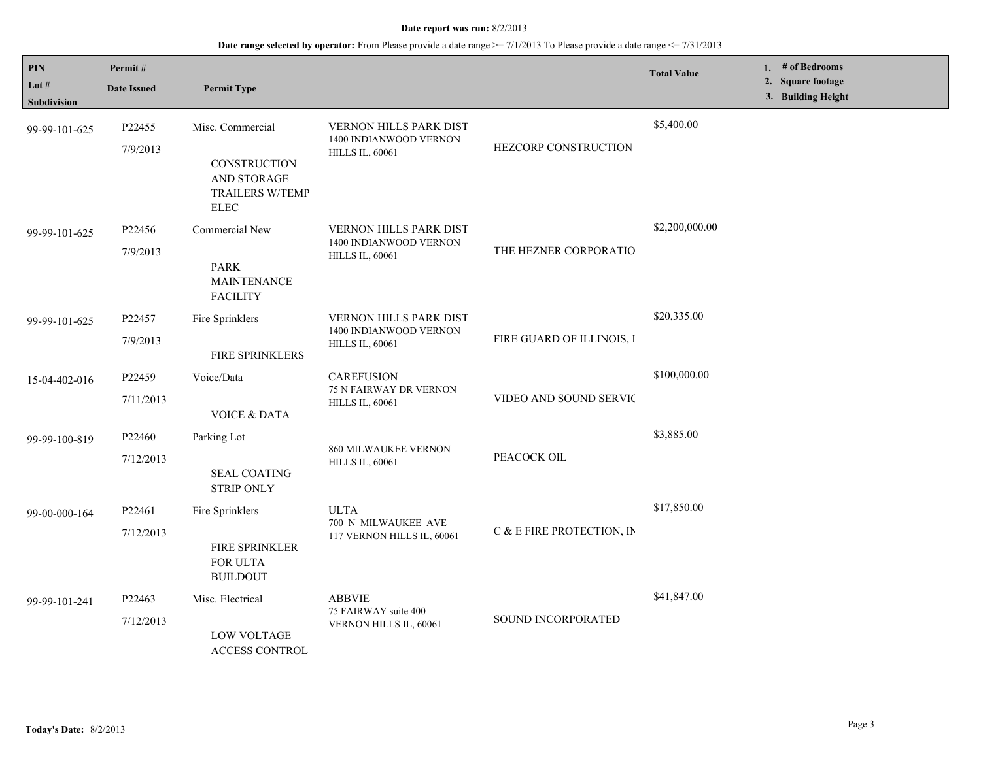| PIN<br>Lot #       | Permit#                  |                                                                      |                                                         |                           | <b>Total Value</b> | 1. # of Bedrooms<br>2. Square footage |
|--------------------|--------------------------|----------------------------------------------------------------------|---------------------------------------------------------|---------------------------|--------------------|---------------------------------------|
| <b>Subdivision</b> | <b>Date Issued</b>       | <b>Permit Type</b>                                                   |                                                         |                           |                    | 3. Building Height                    |
| 99-99-101-625      | P22455                   | Misc. Commercial                                                     | <b>VERNON HILLS PARK DIST</b>                           |                           | \$5,400.00         |                                       |
|                    | 7/9/2013                 | CONSTRUCTION<br>AND STORAGE<br><b>TRAILERS W/TEMP</b><br><b>ELEC</b> | 1400 INDIANWOOD VERNON<br><b>HILLS IL, 60061</b>        | HEZCORP CONSTRUCTION      |                    |                                       |
| 99-99-101-625      | P22456                   | Commercial New                                                       | <b>VERNON HILLS PARK DIST</b><br>1400 INDIANWOOD VERNON |                           | \$2,200,000.00     |                                       |
|                    | 7/9/2013                 | <b>PARK</b><br><b>MAINTENANCE</b><br><b>FACILITY</b>                 | <b>HILLS IL, 60061</b>                                  | THE HEZNER CORPORATIO     |                    |                                       |
| 99-99-101-625      | P22457                   | Fire Sprinklers                                                      | <b>VERNON HILLS PARK DIST</b><br>1400 INDIANWOOD VERNON |                           | \$20,335.00        |                                       |
|                    | 7/9/2013                 | FIRE SPRINKLERS                                                      | <b>HILLS IL, 60061</b>                                  | FIRE GUARD OF ILLINOIS, I |                    |                                       |
| 15-04-402-016      | P22459                   | Voice/Data                                                           | <b>CAREFUSION</b><br><b>75 N FAIRWAY DR VERNON</b>      | VIDEO AND SOUND SERVIC    | \$100,000.00       |                                       |
|                    | 7/11/2013                | <b>VOICE &amp; DATA</b>                                              | <b>HILLS IL, 60061</b>                                  |                           |                    |                                       |
| 99-99-100-819      | P22460                   | Parking Lot                                                          | <b>860 MILWAUKEE VERNON</b>                             |                           | \$3,885.00         |                                       |
|                    | 7/12/2013                | <b>SEAL COATING</b><br><b>STRIP ONLY</b>                             | <b>HILLS IL, 60061</b>                                  | PEACOCK OIL               |                    |                                       |
| 99-00-000-164      | P22461                   | Fire Sprinklers                                                      | <b>ULTA</b>                                             |                           | \$17,850.00        |                                       |
|                    | 7/12/2013                | FIRE SPRINKLER<br>FOR ULTA<br><b>BUILDOUT</b>                        | 700 N MILWAUKEE AVE<br>117 VERNON HILLS IL, 60061       | C & E FIRE PROTECTION, IN |                    |                                       |
| 99-99-101-241      | P22463                   | Misc. Electrical                                                     | <b>ABBVIE</b><br>75 FAIRWAY suite 400                   |                           | \$41,847.00        |                                       |
|                    | 7/12/2013<br>LOW VOLTAGE | <b>ACCESS CONTROL</b>                                                | SOUND INCORPORATED<br>VERNON HILLS IL, 60061            |                           |                    |                                       |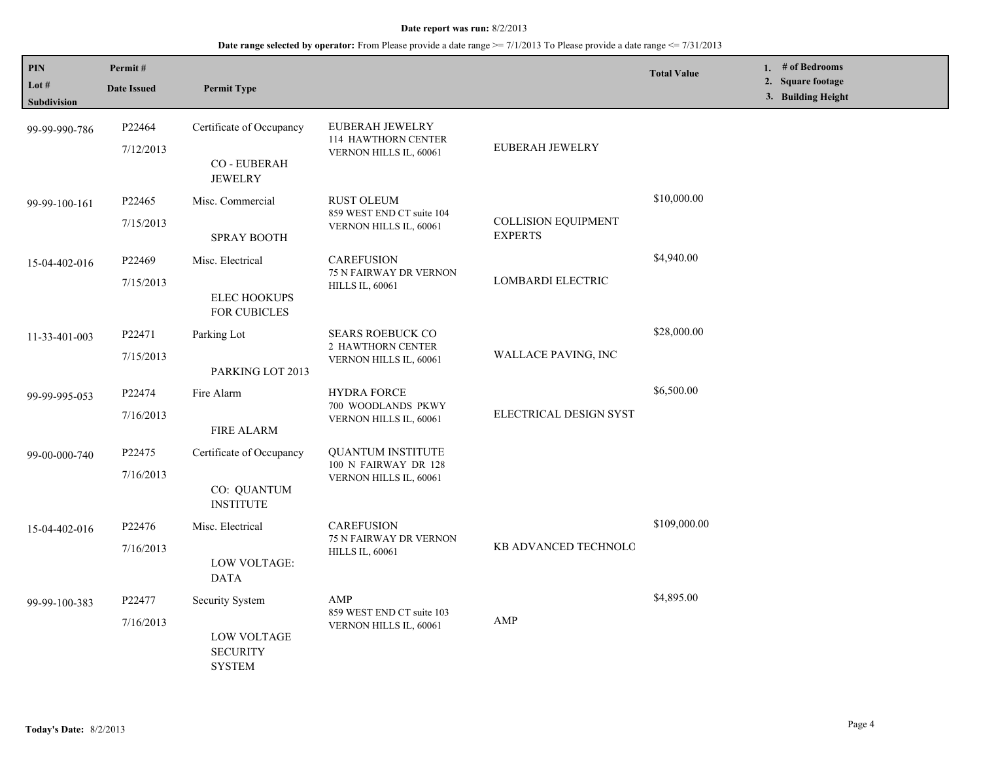## **Date range selected by operator:** From Please provide a date range >= 7/1/2013 To Please provide a date range <= 7/31/2013

| PIN<br>Lot #       | Permit#             |                                                        |                                                                  |                                              | <b>Total Value</b> | 1. $#$ of Bedrooms<br>2. Square footage |
|--------------------|---------------------|--------------------------------------------------------|------------------------------------------------------------------|----------------------------------------------|--------------------|-----------------------------------------|
| <b>Subdivision</b> | <b>Date Issued</b>  | <b>Permit Type</b>                                     |                                                                  |                                              |                    | 3. Building Height                      |
| 99-99-990-786      | P22464<br>7/12/2013 | Certificate of Occupancy                               | EUBERAH JEWELRY<br>114 HAWTHORN CENTER<br>VERNON HILLS IL, 60061 | EUBERAH JEWELRY                              |                    |                                         |
|                    |                     | CO - EUBERAH<br><b>JEWELRY</b>                         |                                                                  |                                              |                    |                                         |
| 99-99-100-161      | P22465              | Misc. Commercial                                       | <b>RUST OLEUM</b>                                                |                                              | \$10,000.00        |                                         |
|                    | 7/15/2013           | <b>SPRAY BOOTH</b>                                     | 859 WEST END CT suite 104<br>VERNON HILLS IL, 60061              | <b>COLLISION EQUIPMENT</b><br><b>EXPERTS</b> |                    |                                         |
| 15-04-402-016      | P22469              | Misc. Electrical                                       | <b>CAREFUSION</b>                                                |                                              | \$4,940.00         |                                         |
|                    | 7/15/2013           | <b>ELEC HOOKUPS</b><br>FOR CUBICLES                    | 75 N FAIRWAY DR VERNON<br><b>HILLS IL, 60061</b>                 | LOMBARDI ELECTRIC                            |                    |                                         |
| 11-33-401-003      | P22471              | Parking Lot                                            | <b>SEARS ROEBUCK CO</b>                                          |                                              | \$28,000.00        |                                         |
|                    | 7/15/2013           | PARKING LOT 2013                                       | 2 HAWTHORN CENTER<br>VERNON HILLS IL, 60061                      | WALLACE PAVING, INC                          |                    |                                         |
| 99-99-995-053      | P22474              | Fire Alarm                                             | <b>HYDRA FORCE</b>                                               |                                              | \$6,500.00         |                                         |
|                    | 7/16/2013           | <b>FIRE ALARM</b>                                      | 700 WOODLANDS PKWY<br>VERNON HILLS IL, 60061                     | ELECTRICAL DESIGN SYST                       |                    |                                         |
| 99-00-000-740      | P <sub>22475</sub>  | Certificate of Occupancy                               | <b>OUANTUM INSTITUTE</b>                                         |                                              |                    |                                         |
|                    | 7/16/2013           |                                                        | 100 N FAIRWAY DR 128<br>VERNON HILLS IL, 60061                   |                                              |                    |                                         |
|                    |                     | CO: QUANTUM<br><b>INSTITUTE</b>                        |                                                                  |                                              |                    |                                         |
| 15-04-402-016      | P22476              | Misc. Electrical                                       | <b>CAREFUSION</b><br>75 N FAIRWAY DR VERNON                      |                                              | \$109,000.00       |                                         |
|                    | 7/16/2013           | LOW VOLTAGE:<br><b>DATA</b>                            | <b>HILLS IL, 60061</b>                                           | KB ADVANCED TECHNOLO                         |                    |                                         |
| 99-99-100-383      | P22477              | <b>Security System</b>                                 | AMP                                                              |                                              | \$4,895.00         |                                         |
|                    | 7/16/2013           | <b>LOW VOLTAGE</b><br><b>SECURITY</b><br><b>SYSTEM</b> | 859 WEST END CT suite 103<br>VERNON HILLS IL, 60061              | AMP                                          |                    |                                         |

L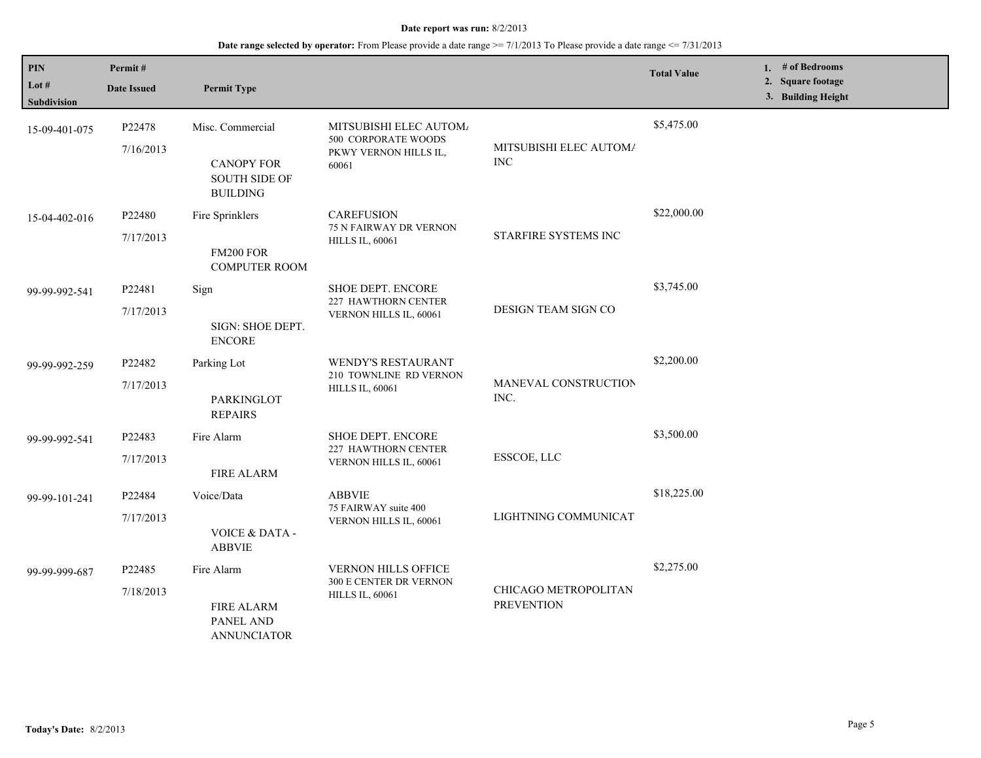| PIN<br>Lot #<br><b>Subdivision</b> | Permit#<br><b>Date Issued</b> | <b>Permit Type</b>                                                               |                                                                                 |                                           | <b>Total Value</b> | 1. # of Bedrooms<br>2. Square footage<br>3. Building Height |
|------------------------------------|-------------------------------|----------------------------------------------------------------------------------|---------------------------------------------------------------------------------|-------------------------------------------|--------------------|-------------------------------------------------------------|
| 15-09-401-075                      | P22478<br>7/16/2013           | Misc. Commercial<br><b>CANOPY FOR</b><br><b>SOUTH SIDE OF</b><br><b>BUILDING</b> | MITSUBISHI ELEC AUTOM/<br>500 CORPORATE WOODS<br>PKWY VERNON HILLS IL,<br>60061 | MITSUBISHI ELEC AUTOM/<br><b>INC</b>      | \$5,475.00         |                                                             |
| 15-04-402-016                      | P22480<br>7/17/2013           | Fire Sprinklers<br>FM200 FOR<br><b>COMPUTER ROOM</b>                             | <b>CAREFUSION</b><br>75 N FAIRWAY DR VERNON<br><b>HILLS IL, 60061</b>           | STARFIRE SYSTEMS INC                      | \$22,000.00        |                                                             |
| 99-99-992-541                      | P22481<br>7/17/2013           | Sign<br>SIGN: SHOE DEPT.<br><b>ENCORE</b>                                        | <b>SHOE DEPT. ENCORE</b><br>227 HAWTHORN CENTER<br>VERNON HILLS IL, 60061       | DESIGN TEAM SIGN CO                       | \$3,745.00         |                                                             |
| 99-99-992-259                      | P22482<br>7/17/2013           | Parking Lot<br>PARKINGLOT<br><b>REPAIRS</b>                                      | WENDY'S RESTAURANT<br>210 TOWNLINE RD VERNON<br><b>HILLS IL, 60061</b>          | MANEVAL CONSTRUCTION<br>INC.              | \$2,200.00         |                                                             |
| 99-99-992-541                      | P22483<br>7/17/2013           | Fire Alarm<br><b>FIRE ALARM</b>                                                  | SHOE DEPT. ENCORE<br>227 HAWTHORN CENTER<br>VERNON HILLS IL, 60061              | ESSCOE, LLC                               | \$3,500.00         |                                                             |
| 99-99-101-241                      | P22484<br>7/17/2013           | Voice/Data<br>VOICE & DATA -<br><b>ABBVIE</b>                                    | <b>ABBVIE</b><br>75 FAIRWAY suite 400<br>VERNON HILLS IL, 60061                 | LIGHTNING COMMUNICAT                      | \$18,225.00        |                                                             |
| 99-99-999-687                      | P22485<br>7/18/2013           | Fire Alarm<br><b>FIRE ALARM</b><br>PANEL AND<br><b>ANNUNCIATOR</b>               | VERNON HILLS OFFICE<br>300 E CENTER DR VERNON<br><b>HILLS IL, 60061</b>         | CHICAGO METROPOLITAN<br><b>PREVENTION</b> | \$2,275.00         |                                                             |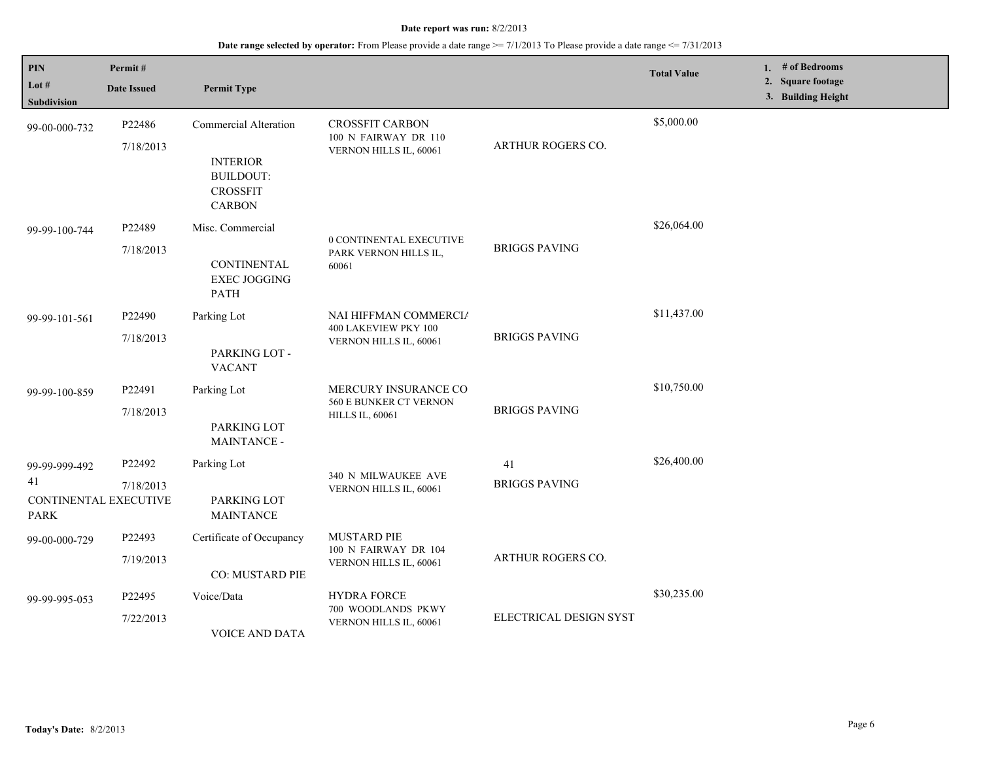| <b>PIN</b><br>Lot #<br>Subdivision                          | Permit#<br><b>Date Issued</b> | <b>Permit Type</b>                                                                                      |                                                                          |                            | <b>Total Value</b> | 1. $#$ of Bedrooms<br>2. Square footage<br>3. Building Height |
|-------------------------------------------------------------|-------------------------------|---------------------------------------------------------------------------------------------------------|--------------------------------------------------------------------------|----------------------------|--------------------|---------------------------------------------------------------|
| 99-00-000-732                                               | P22486<br>7/18/2013           | <b>Commercial Alteration</b><br><b>INTERIOR</b><br><b>BUILDOUT:</b><br><b>CROSSFIT</b><br><b>CARBON</b> | <b>CROSSFIT CARBON</b><br>100 N FAIRWAY DR 110<br>VERNON HILLS IL, 60061 | <b>ARTHUR ROGERS CO.</b>   | \$5,000.00         |                                                               |
| 99-99-100-744                                               | P22489<br>7/18/2013           | Misc. Commercial<br><b>CONTINENTAL</b><br><b>EXEC JOGGING</b><br><b>PATH</b>                            | 0 CONTINENTAL EXECUTIVE<br>PARK VERNON HILLS IL,<br>60061                | <b>BRIGGS PAVING</b>       | \$26,064.00        |                                                               |
| 99-99-101-561                                               | P22490<br>7/18/2013           | Parking Lot<br>PARKING LOT -<br><b>VACANT</b>                                                           | NAI HIFFMAN COMMERCIA<br>400 LAKEVIEW PKY 100<br>VERNON HILLS IL, 60061  | <b>BRIGGS PAVING</b>       | \$11,437.00        |                                                               |
| 99-99-100-859                                               | P22491<br>7/18/2013           | Parking Lot<br>PARKING LOT<br>MAINTANCE -                                                               | MERCURY INSURANCE CO<br>560 E BUNKER CT VERNON<br><b>HILLS IL, 60061</b> | <b>BRIGGS PAVING</b>       | \$10,750.00        |                                                               |
| 99-99-999-492<br>41<br>CONTINENTAL EXECUTIVE<br><b>PARK</b> | P22492<br>7/18/2013           | Parking Lot<br>PARKING LOT<br><b>MAINTANCE</b>                                                          | 340 N MILWAUKEE AVE<br>VERNON HILLS IL, 60061                            | 41<br><b>BRIGGS PAVING</b> | \$26,400.00        |                                                               |
| 99-00-000-729                                               | P22493<br>7/19/2013           | Certificate of Occupancy<br>CO: MUSTARD PIE                                                             | <b>MUSTARD PIE</b><br>100 N FAIRWAY DR 104<br>VERNON HILLS IL, 60061     | <b>ARTHUR ROGERS CO.</b>   |                    |                                                               |
| 99-99-995-053                                               | P22495<br>7/22/2013           | Voice/Data<br>VOICE AND DATA                                                                            | <b>HYDRA FORCE</b><br>700 WOODLANDS PKWY<br>VERNON HILLS IL, 60061       | ELECTRICAL DESIGN SYST     | \$30,235.00        |                                                               |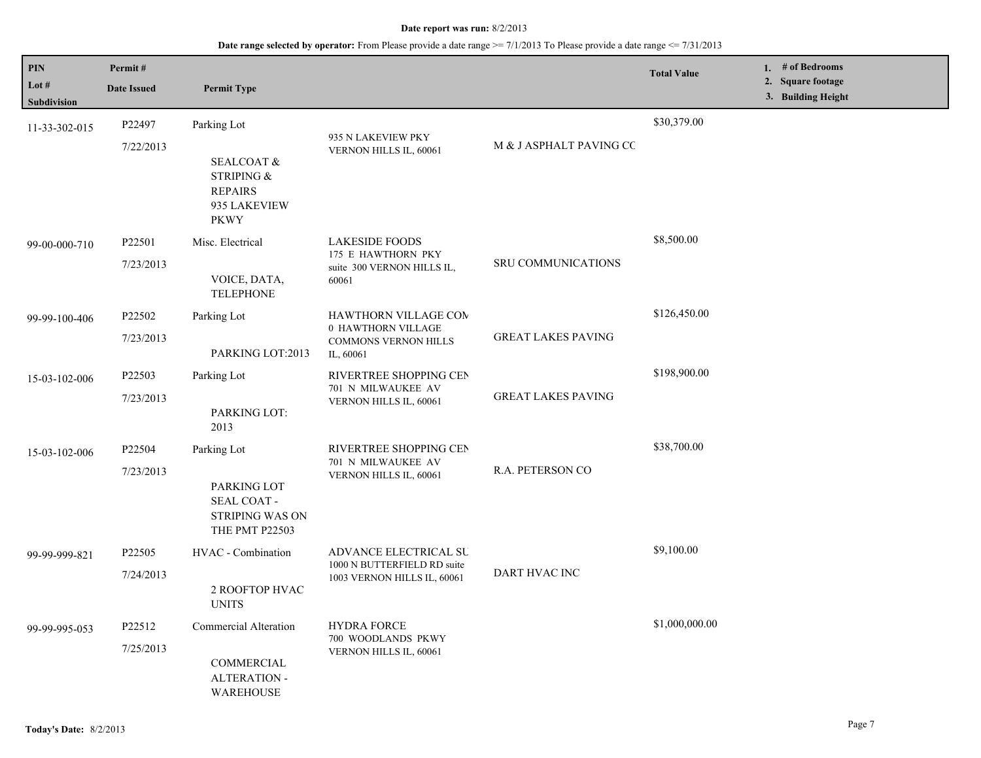| <b>PIN</b>           | Permit#            |                                                                               |                                                                        |                           | <b>Total Value</b> | 1. # of Bedrooms<br>2. Square footage |
|----------------------|--------------------|-------------------------------------------------------------------------------|------------------------------------------------------------------------|---------------------------|--------------------|---------------------------------------|
| Lot #<br>Subdivision | <b>Date Issued</b> | <b>Permit Type</b>                                                            |                                                                        |                           |                    | 3. Building Height                    |
| 11-33-302-015        | P22497             | Parking Lot                                                                   | 935 N LAKEVIEW PKY                                                     |                           | \$30,379.00        |                                       |
|                      | 7/22/2013          | SEALCOAT &<br>STRIPING &<br><b>REPAIRS</b><br>935 LAKEVIEW<br><b>PKWY</b>     | VERNON HILLS IL, 60061                                                 | M & J ASPHALT PAVING CC   |                    |                                       |
| 99-00-000-710        | P22501             | Misc. Electrical                                                              | <b>LAKESIDE FOODS</b><br>175 E HAWTHORN PKY                            |                           | \$8,500.00         |                                       |
|                      | 7/23/2013          | VOICE, DATA,<br><b>TELEPHONE</b>                                              | suite 300 VERNON HILLS IL,<br>60061                                    | <b>SRU COMMUNICATIONS</b> |                    |                                       |
| 99-99-100-406        | P22502             | Parking Lot                                                                   | <b>HAWTHORN VILLAGE COM</b><br>0 HAWTHORN VILLAGE                      |                           | \$126,450.00       |                                       |
|                      | 7/23/2013          | PARKING LOT:2013                                                              | COMMONS VERNON HILLS<br>IL, 60061                                      | <b>GREAT LAKES PAVING</b> |                    |                                       |
| 15-03-102-006        | P22503             | Parking Lot                                                                   | RIVERTREE SHOPPING CEN<br>701 N MILWAUKEE AV<br>VERNON HILLS IL, 60061 |                           | \$198,900.00       |                                       |
|                      | 7/23/2013          | PARKING LOT:<br>2013                                                          |                                                                        | <b>GREAT LAKES PAVING</b> |                    |                                       |
| 15-03-102-006        | P22504             | Parking Lot                                                                   | RIVERTREE SHOPPING CEN                                                 | R.A. PETERSON CO          | \$38,700.00        |                                       |
|                      | 7/23/2013          | PARKING LOT<br>SEAL COAT -<br><b>STRIPING WAS ON</b><br><b>THE PMT P22503</b> | 701 N MILWAUKEE AV<br>VERNON HILLS IL, 60061                           |                           |                    |                                       |
| 99-99-999-821        | P22505             | HVAC - Combination                                                            | ADVANCE ELECTRICAL SU<br>1000 N BUTTERFIELD RD suite                   |                           | \$9,100.00         |                                       |
|                      | 7/24/2013          | 2 ROOFTOP HVAC<br><b>UNITS</b>                                                | 1003 VERNON HILLS IL, 60061                                            | DART HVAC INC             |                    |                                       |
| 99-99-995-053        | P22512             | Commercial Alteration                                                         | <b>HYDRA FORCE</b>                                                     |                           | \$1,000,000.00     |                                       |
|                      | 7/25/2013          | COMMERCIAL<br><b>ALTERATION -</b><br><b>WAREHOUSE</b>                         | 700 WOODLANDS PKWY<br>VERNON HILLS IL, 60061                           |                           |                    |                                       |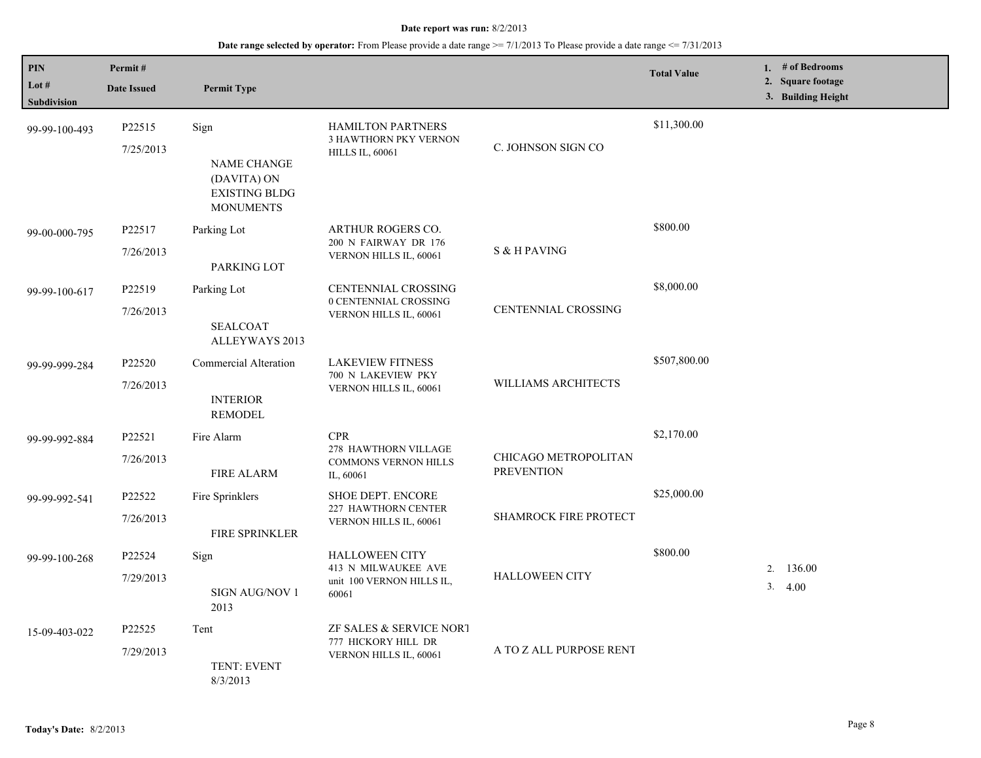| <b>PIN</b><br>Lot $#$<br>Subdivision | Permit#<br><b>Date Issued</b> | <b>Permit Type</b>                                                             |                                                                                    |                                           | <b>Total Value</b> | 1. # of Bedrooms<br>2. Square footage<br>3. Building Height |
|--------------------------------------|-------------------------------|--------------------------------------------------------------------------------|------------------------------------------------------------------------------------|-------------------------------------------|--------------------|-------------------------------------------------------------|
| 99-99-100-493                        | P22515<br>7/25/2013           | Sign<br>NAME CHANGE<br>(DAVITA) ON<br><b>EXISTING BLDG</b><br><b>MONUMENTS</b> | HAMILTON PARTNERS<br>3 HAWTHORN PKY VERNON<br><b>HILLS IL, 60061</b>               | C. JOHNSON SIGN CO                        | \$11,300.00        |                                                             |
| 99-00-000-795                        | P22517<br>7/26/2013           | Parking Lot<br>PARKING LOT                                                     | ARTHUR ROGERS CO.<br>200 N FAIRWAY DR 176<br>VERNON HILLS IL, 60061                | S & H PAVING                              | \$800.00           |                                                             |
| 99-99-100-617                        | P22519<br>7/26/2013           | Parking Lot<br><b>SEALCOAT</b><br>ALLEYWAYS 2013                               | CENTENNIAL CROSSING<br>0 CENTENNIAL CROSSING<br>VERNON HILLS IL, 60061             | <b>CENTENNIAL CROSSING</b>                | \$8,000.00         |                                                             |
| 99-99-999-284                        | P22520<br>7/26/2013           | Commercial Alteration<br><b>INTERIOR</b><br><b>REMODEL</b>                     | <b>LAKEVIEW FITNESS</b><br>700 N LAKEVIEW PKY<br>VERNON HILLS IL, 60061            | <b>WILLIAMS ARCHITECTS</b>                | \$507,800.00       |                                                             |
| 99-99-992-884                        | P22521<br>7/26/2013           | Fire Alarm<br><b>FIRE ALARM</b>                                                | <b>CPR</b><br>278 HAWTHORN VILLAGE<br><b>COMMONS VERNON HILLS</b><br>IL, 60061     | CHICAGO METROPOLITAN<br><b>PREVENTION</b> | \$2,170.00         |                                                             |
| 99-99-992-541                        | P22522<br>7/26/2013           | Fire Sprinklers<br>FIRE SPRINKLER                                              | <b>SHOE DEPT. ENCORE</b><br>227 HAWTHORN CENTER<br>VERNON HILLS IL, 60061          | <b>SHAMROCK FIRE PROTECT</b>              | \$25,000.00        |                                                             |
| 99-99-100-268                        | P22524<br>7/29/2013           | Sign<br>SIGN AUG/NOV 1<br>2013                                                 | <b>HALLOWEEN CITY</b><br>413 N MILWAUKEE AVE<br>unit 100 VERNON HILLS IL,<br>60061 | <b>HALLOWEEN CITY</b>                     | \$800.00           | 2. 136.00<br>3.4.00                                         |
| 15-09-403-022                        | P22525<br>7/29/2013           | Tent<br>TENT: EVENT<br>8/3/2013                                                | ZF SALES & SERVICE NORT<br>777 HICKORY HILL DR<br>VERNON HILLS IL, 60061           | A TO Z ALL PURPOSE RENT                   |                    |                                                             |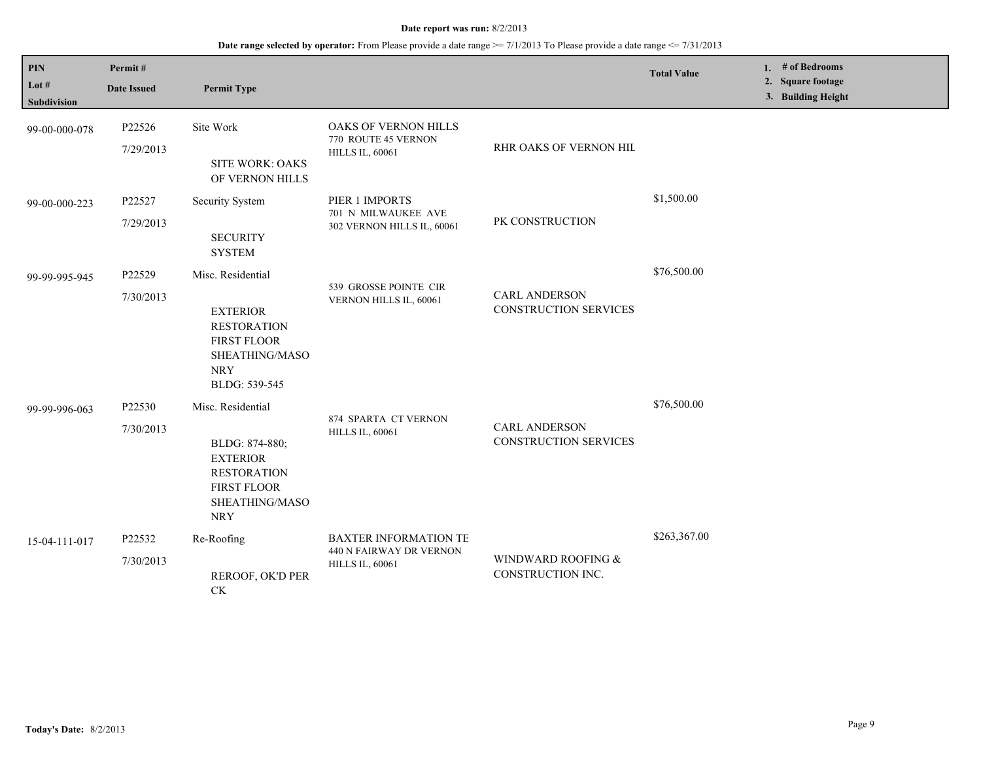| $\mathbf{PIN}$<br>Lot #<br><b>Subdivision</b> | Permit#<br><b>Date Issued</b> | <b>Permit Type</b>                                                                                                                 |                                                                                   |                                                      | <b>Total Value</b> | 1. | # of Bedrooms<br>2. Square footage<br>3. Building Height |  |
|-----------------------------------------------|-------------------------------|------------------------------------------------------------------------------------------------------------------------------------|-----------------------------------------------------------------------------------|------------------------------------------------------|--------------------|----|----------------------------------------------------------|--|
| 99-00-000-078                                 | P22526<br>7/29/2013           | Site Work<br><b>SITE WORK: OAKS</b><br>OF VERNON HILLS                                                                             | OAKS OF VERNON HILLS<br>770 ROUTE 45 VERNON<br><b>HILLS IL, 60061</b>             | RHR OAKS OF VERNON HIL                               |                    |    |                                                          |  |
| 99-00-000-223                                 | P22527<br>7/29/2013           | <b>Security System</b><br><b>SECURITY</b><br><b>SYSTEM</b>                                                                         | PIER 1 IMPORTS<br>701 N MILWAUKEE AVE<br>302 VERNON HILLS IL, 60061               | PK CONSTRUCTION                                      | \$1,500.00         |    |                                                          |  |
| 99-99-995-945                                 | P22529<br>7/30/2013           | Misc. Residential<br><b>EXTERIOR</b><br><b>RESTORATION</b><br>FIRST FLOOR<br>SHEATHING/MASO<br><b>NRY</b><br>BLDG: 539-545         | 539 GROSSE POINTE CIR<br>VERNON HILLS IL, 60061                                   | <b>CARL ANDERSON</b><br><b>CONSTRUCTION SERVICES</b> | \$76,500.00        |    |                                                          |  |
| 99-99-996-063                                 | P22530<br>7/30/2013           | Misc. Residential<br>BLDG: 874-880;<br><b>EXTERIOR</b><br><b>RESTORATION</b><br><b>FIRST FLOOR</b><br>SHEATHING/MASO<br><b>NRY</b> | 874 SPARTA CT VERNON<br><b>HILLS IL, 60061</b>                                    | <b>CARL ANDERSON</b><br>CONSTRUCTION SERVICES        | \$76,500.00        |    |                                                          |  |
| 15-04-111-017                                 | P22532<br>7/30/2013           | Re-Roofing<br>REROOF, OK'D PER<br>$\mathrm{C}\mathrm{K}$                                                                           | <b>BAXTER INFORMATION TE</b><br>440 N FAIRWAY DR VERNON<br><b>HILLS IL, 60061</b> | WINDWARD ROOFING &<br>CONSTRUCTION INC.              | \$263,367.00       |    |                                                          |  |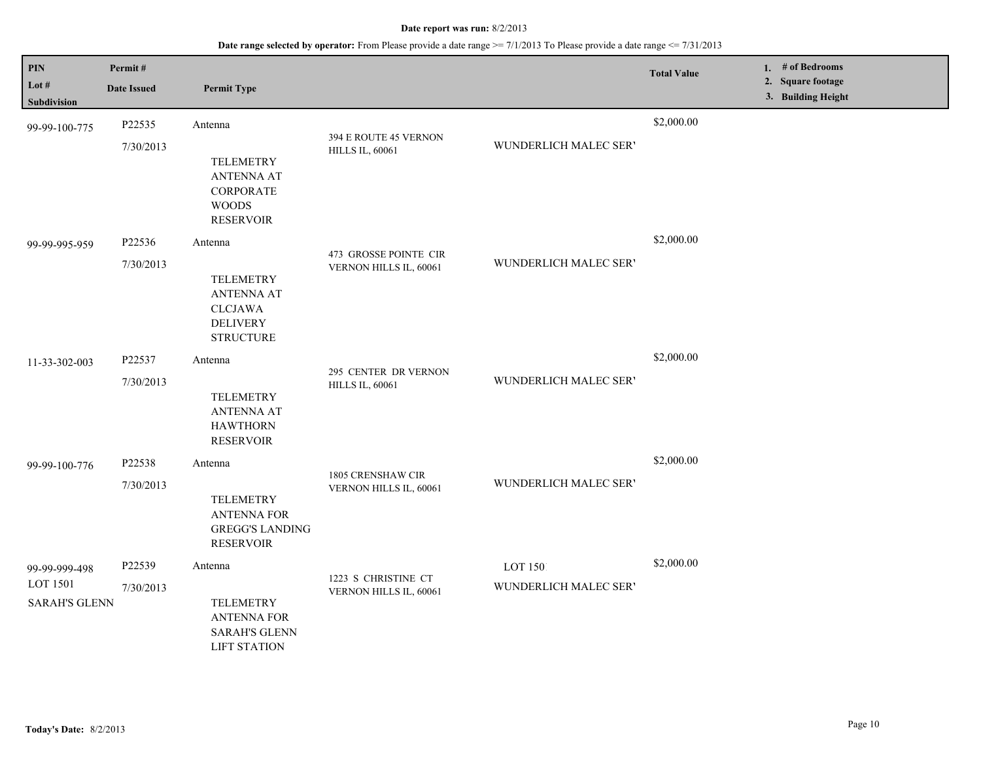| <b>PIN</b><br>Lot #              | Permit#<br><b>Date Issued</b> | <b>Permit Type</b>                                                                             |                                                                      |                       | <b>Total Value</b> | 1. # of Bedrooms<br>2. Square footage |
|----------------------------------|-------------------------------|------------------------------------------------------------------------------------------------|----------------------------------------------------------------------|-----------------------|--------------------|---------------------------------------|
| Subdivision                      |                               |                                                                                                |                                                                      |                       |                    | 3. Building Height                    |
| 99-99-100-775                    | P22535                        | Antenna                                                                                        | 394 E ROUTE 45 VERNON                                                |                       | \$2,000.00         |                                       |
|                                  | 7/30/2013                     | <b>TELEMETRY</b><br><b>ANTENNA AT</b><br><b>CORPORATE</b><br><b>WOODS</b><br><b>RESERVOIR</b>  | <b>HILLS IL, 60061</b>                                               | WUNDERLICH MALEC SER' |                    |                                       |
| 99-99-995-959                    | P22536                        | Antenna                                                                                        | 473 GROSSE POINTE CIR                                                |                       | \$2,000.00         |                                       |
|                                  | 7/30/2013                     | <b>TELEMETRY</b><br><b>ANTENNA AT</b><br><b>CLCJAWA</b><br><b>DELIVERY</b><br><b>STRUCTURE</b> | VERNON HILLS IL, 60061                                               | WUNDERLICH MALEC SER' |                    |                                       |
| 11-33-302-003                    | P22537                        | Antenna                                                                                        | 295 CENTER DR VERNON                                                 |                       | \$2,000.00         |                                       |
|                                  | 7/30/2013                     | <b>TELEMETRY</b><br><b>ANTENNA AT</b><br><b>HAWTHORN</b><br><b>RESERVOIR</b>                   | <b>HILLS IL, 60061</b>                                               | WUNDERLICH MALEC SER' |                    |                                       |
| 99-99-100-776                    | P22538                        | Antenna                                                                                        |                                                                      |                       | \$2,000.00         |                                       |
|                                  | 7/30/2013                     | <b>TELEMETRY</b><br><b>ANTENNA FOR</b><br><b>GREGG'S LANDING</b><br><b>RESERVOIR</b>           | 1805 CRENSHAW CIR<br>WUNDERLICH MALEC SER'<br>VERNON HILLS IL, 60061 |                       |                    |                                       |
| 99-99-999-498                    | P22539                        | Antenna                                                                                        | 1223 S CHRISTINE CT                                                  | LOT 1501              | \$2,000.00         |                                       |
| LOT 1501<br><b>SARAH'S GLENN</b> | 7/30/2013                     | <b>TELEMETRY</b><br><b>ANTENNA FOR</b><br><b>SARAH'S GLENN</b><br><b>LIFT STATION</b>          | VERNON HILLS IL, 60061                                               | WUNDERLICH MALEC SER' |                    |                                       |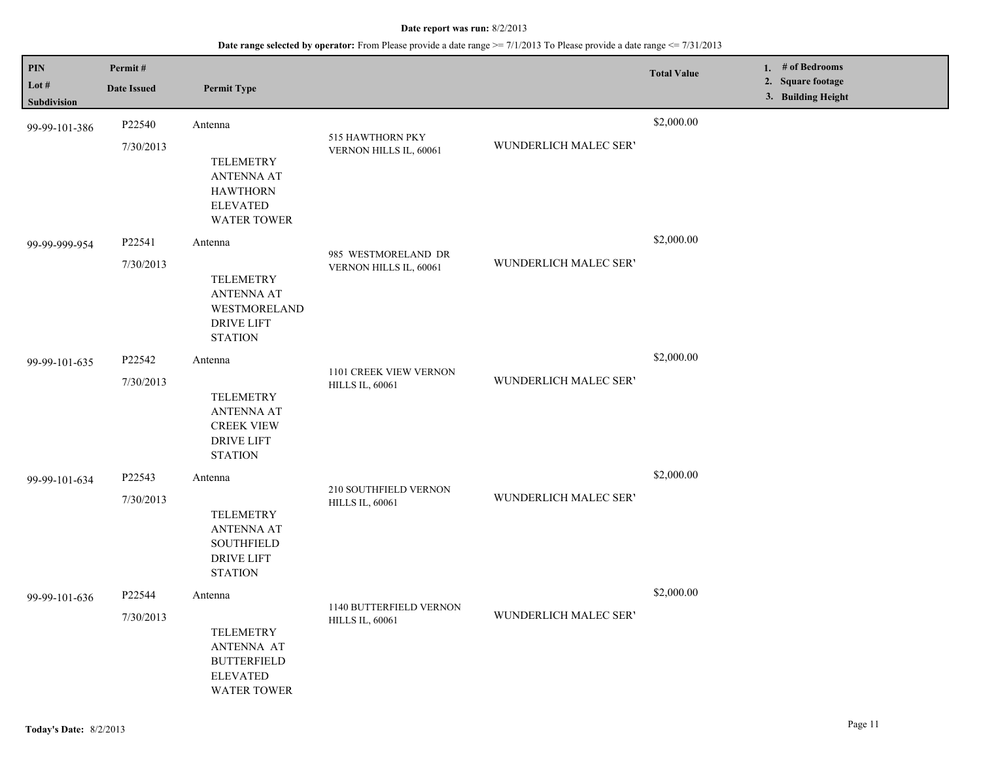| PIN                  | Permit#             |                                                                                                                        |                                                   |                       | <b>Total Value</b> | 1. $#$ of Bedrooms                      |
|----------------------|---------------------|------------------------------------------------------------------------------------------------------------------------|---------------------------------------------------|-----------------------|--------------------|-----------------------------------------|
| Lot #<br>Subdivision | <b>Date Issued</b>  | <b>Permit Type</b>                                                                                                     |                                                   |                       |                    | 2. Square footage<br>3. Building Height |
| 99-99-101-386        | P22540<br>7/30/2013 | Antenna<br><b>TELEMETRY</b><br><b>ANTENNA AT</b><br><b>HAWTHORN</b><br><b>ELEVATED</b>                                 | 515 HAWTHORN PKY<br>VERNON HILLS IL, 60061        | WUNDERLICH MALEC SER' | \$2,000.00         |                                         |
| 99-99-999-954        | P22541<br>7/30/2013 | <b>WATER TOWER</b><br>Antenna<br>TELEMETRY<br><b>ANTENNA AT</b><br>WESTMORELAND<br><b>DRIVE LIFT</b><br><b>STATION</b> | 985 WESTMORELAND DR<br>VERNON HILLS IL, 60061     | WUNDERLICH MALEC SER' | \$2,000.00         |                                         |
| 99-99-101-635        | P22542<br>7/30/2013 | Antenna<br><b>TELEMETRY</b><br><b>ANTENNA AT</b><br><b>CREEK VIEW</b><br><b>DRIVE LIFT</b><br><b>STATION</b>           | 1101 CREEK VIEW VERNON<br><b>HILLS IL, 60061</b>  | WUNDERLICH MALEC SER' | \$2,000.00         |                                         |
| 99-99-101-634        | P22543<br>7/30/2013 | Antenna<br><b>TELEMETRY</b><br><b>ANTENNA AT</b><br><b>SOUTHFIELD</b><br><b>DRIVE LIFT</b><br><b>STATION</b>           | 210 SOUTHFIELD VERNON<br><b>HILLS IL, 60061</b>   | WUNDERLICH MALEC SER' | \$2,000.00         |                                         |
| 99-99-101-636        | P22544<br>7/30/2013 | Antenna<br><b>TELEMETRY</b><br><b>ANTENNA AT</b><br><b>BUTTERFIELD</b><br><b>ELEVATED</b><br>WATER TOWER               | 1140 BUTTERFIELD VERNON<br><b>HILLS IL, 60061</b> | WUNDERLICH MALEC SER' | \$2,000.00         |                                         |